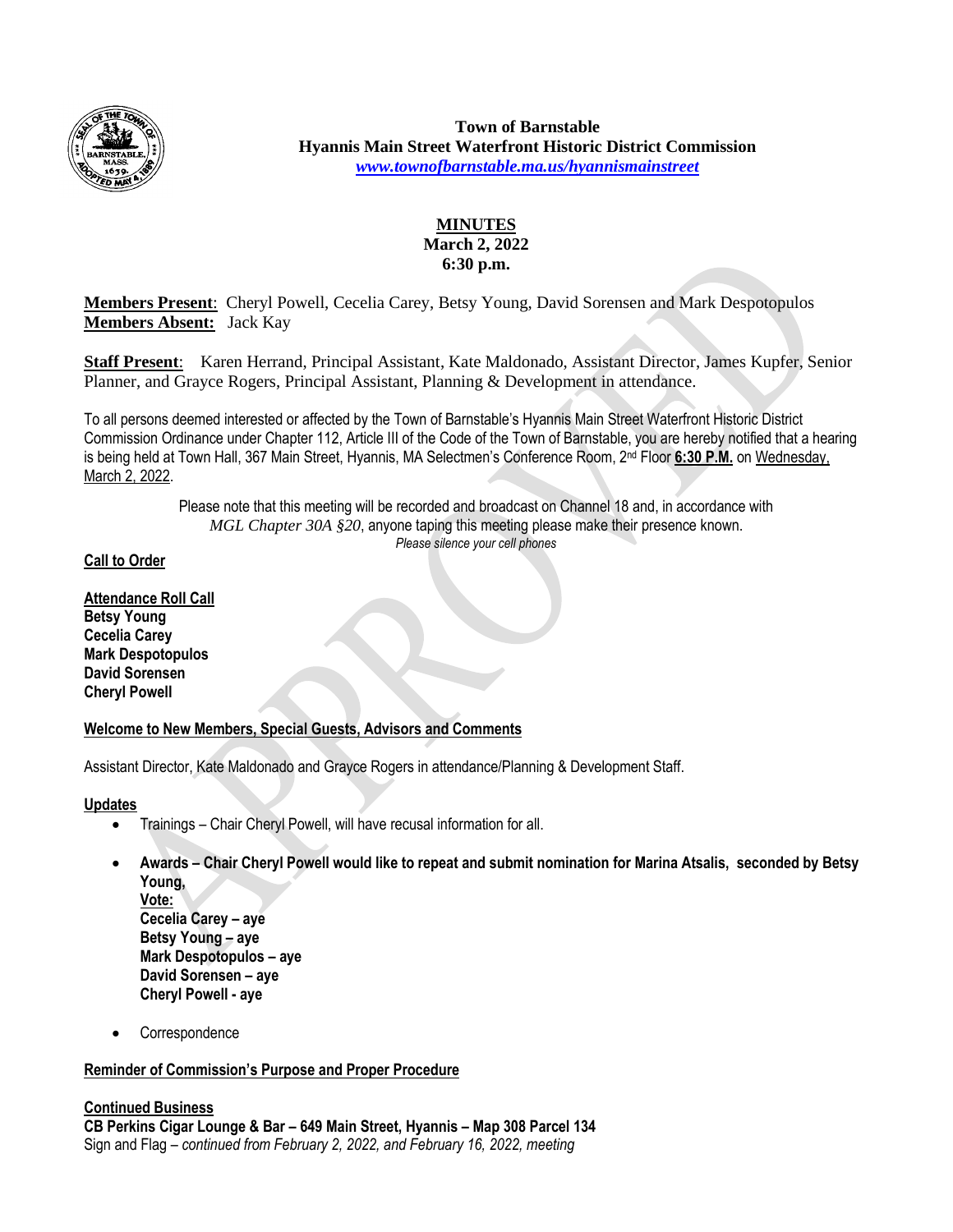

**Town of Barnstable Hyannis Main Street Waterfront Historic District Commission** *[www.townofbarnstable.ma.us/hyannismainstreet](http://www.townofbarnstable.ma.us/hyannismainstreet)*

# **MINUTES March 2, 2022 6:30 p.m.**

**Members Present**: Cheryl Powell, Cecelia Carey, Betsy Young, David Sorensen and Mark Despotopulos **Members Absent:** Jack Kay

**Staff Present**: Karen Herrand, Principal Assistant, Kate Maldonado, Assistant Director, James Kupfer, Senior Planner, and Grayce Rogers, Principal Assistant, Planning & Development in attendance.

To all persons deemed interested or affected by the Town of Barnstable's Hyannis Main Street Waterfront Historic District Commission Ordinance under Chapter 112, Article III of the Code of the Town of Barnstable, you are hereby notified that a hearing is being held at Town Hall, 367 Main Street, Hyannis, MA Selectmen's Conference Room, 2nd Floor **6:30 P.M.** on Wednesday, March 2, 2022.

> Please note that this meeting will be recorded and broadcast on Channel 18 and, in accordance with *MGL Chapter 30A §20*, anyone taping this meeting please make their presence known. *Please silence your cell phones*

# **Call to Order**

**Attendance Roll Call Betsy Young Cecelia Carey Mark Despotopulos David Sorensen Cheryl Powell**

## **Welcome to New Members, Special Guests, Advisors and Comments**

Assistant Director, Kate Maldonado and Grayce Rogers in attendance/Planning & Development Staff.

## **Updates**

- Trainings Chair Cheryl Powell, will have recusal information for all.
- **Awards – Chair Cheryl Powell would like to repeat and submit nomination for Marina Atsalis, seconded by Betsy Young, Vote: Cecelia Carey – aye Betsy Young – aye Mark Despotopulos – aye David Sorensen – aye**
	- **Cheryl Powell - aye**
- Correspondence

# **Reminder of Commission's Purpose and Proper Procedure**

## **Continued Business CB Perkins Cigar Lounge & Bar – 649 Main Street, Hyannis – Map 308 Parcel 134** Sign and Flag – *continued from February 2, 2022, and February 16, 2022, meeting*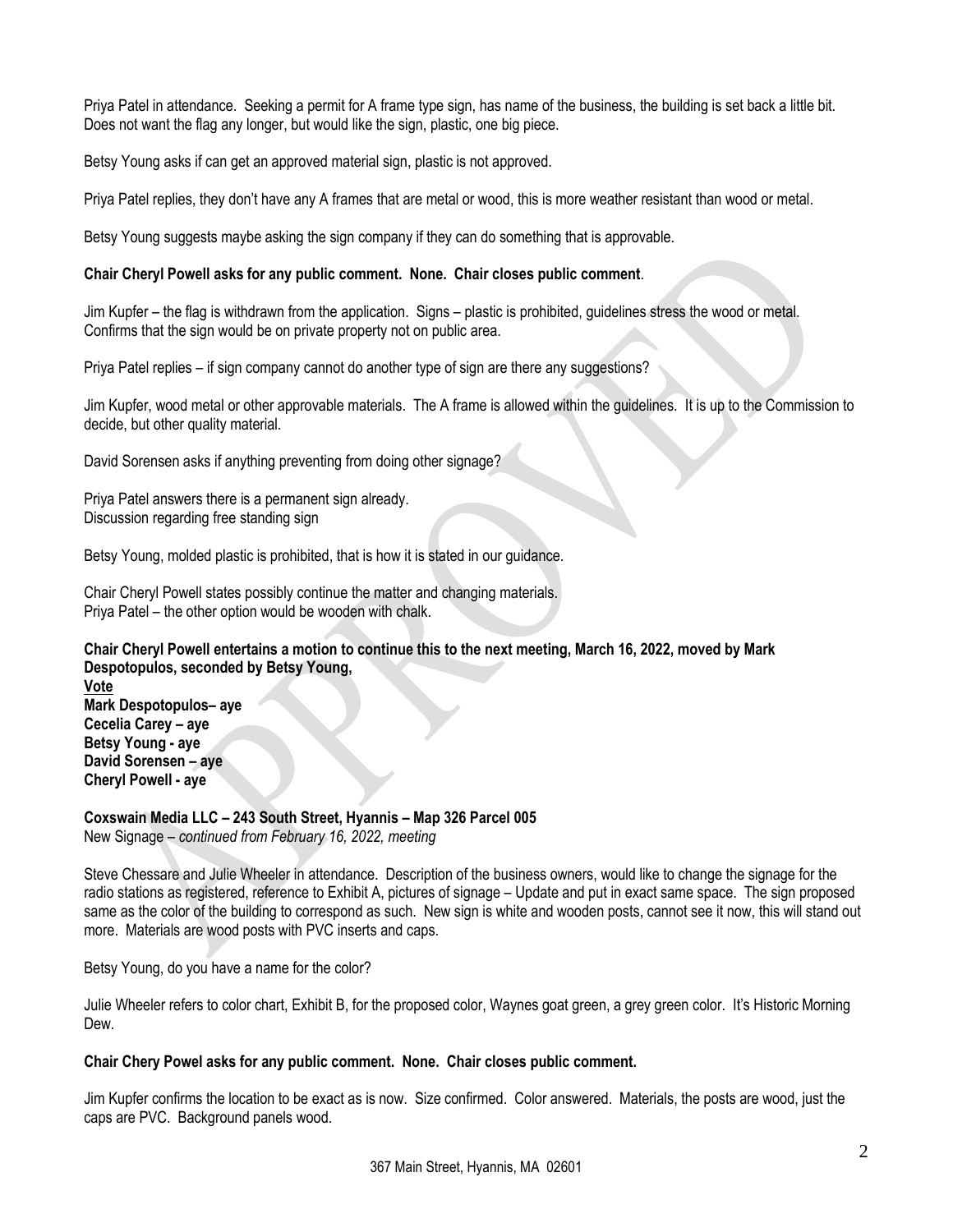Priya Patel in attendance. Seeking a permit for A frame type sign, has name of the business, the building is set back a little bit. Does not want the flag any longer, but would like the sign, plastic, one big piece.

Betsy Young asks if can get an approved material sign, plastic is not approved.

Priya Patel replies, they don't have any A frames that are metal or wood, this is more weather resistant than wood or metal.

Betsy Young suggests maybe asking the sign company if they can do something that is approvable.

### **Chair Cheryl Powell asks for any public comment. None. Chair closes public comment**.

Jim Kupfer – the flag is withdrawn from the application. Signs – plastic is prohibited, guidelines stress the wood or metal. Confirms that the sign would be on private property not on public area.

Priya Patel replies – if sign company cannot do another type of sign are there any suggestions?

Jim Kupfer, wood metal or other approvable materials. The A frame is allowed within the guidelines. It is up to the Commission to decide, but other quality material.

David Sorensen asks if anything preventing from doing other signage?

Priya Patel answers there is a permanent sign already. Discussion regarding free standing sign

Betsy Young, molded plastic is prohibited, that is how it is stated in our guidance.

Chair Cheryl Powell states possibly continue the matter and changing materials. Priya Patel – the other option would be wooden with chalk.

**Chair Cheryl Powell entertains a motion to continue this to the next meeting, March 16, 2022, moved by Mark Despotopulos, seconded by Betsy Young,**

**Vote Mark Despotopulos– aye Cecelia Carey – aye Betsy Young - aye David Sorensen – aye Cheryl Powell - aye**

**Coxswain Media LLC – 243 South Street, Hyannis – Map 326 Parcel 005** New Signage – *continued from February 16, 2022, meeting*

Steve Chessare and Julie Wheeler in attendance. Description of the business owners, would like to change the signage for the radio stations as registered, reference to Exhibit A, pictures of signage – Update and put in exact same space. The sign proposed same as the color of the building to correspond as such. New sign is white and wooden posts, cannot see it now, this will stand out more. Materials are wood posts with PVC inserts and caps.

Betsy Young, do you have a name for the color?

Julie Wheeler refers to color chart, Exhibit B, for the proposed color, Waynes goat green, a grey green color. It's Historic Morning Dew.

#### **Chair Chery Powel asks for any public comment. None. Chair closes public comment.**

Jim Kupfer confirms the location to be exact as is now. Size confirmed. Color answered. Materials, the posts are wood, just the caps are PVC. Background panels wood.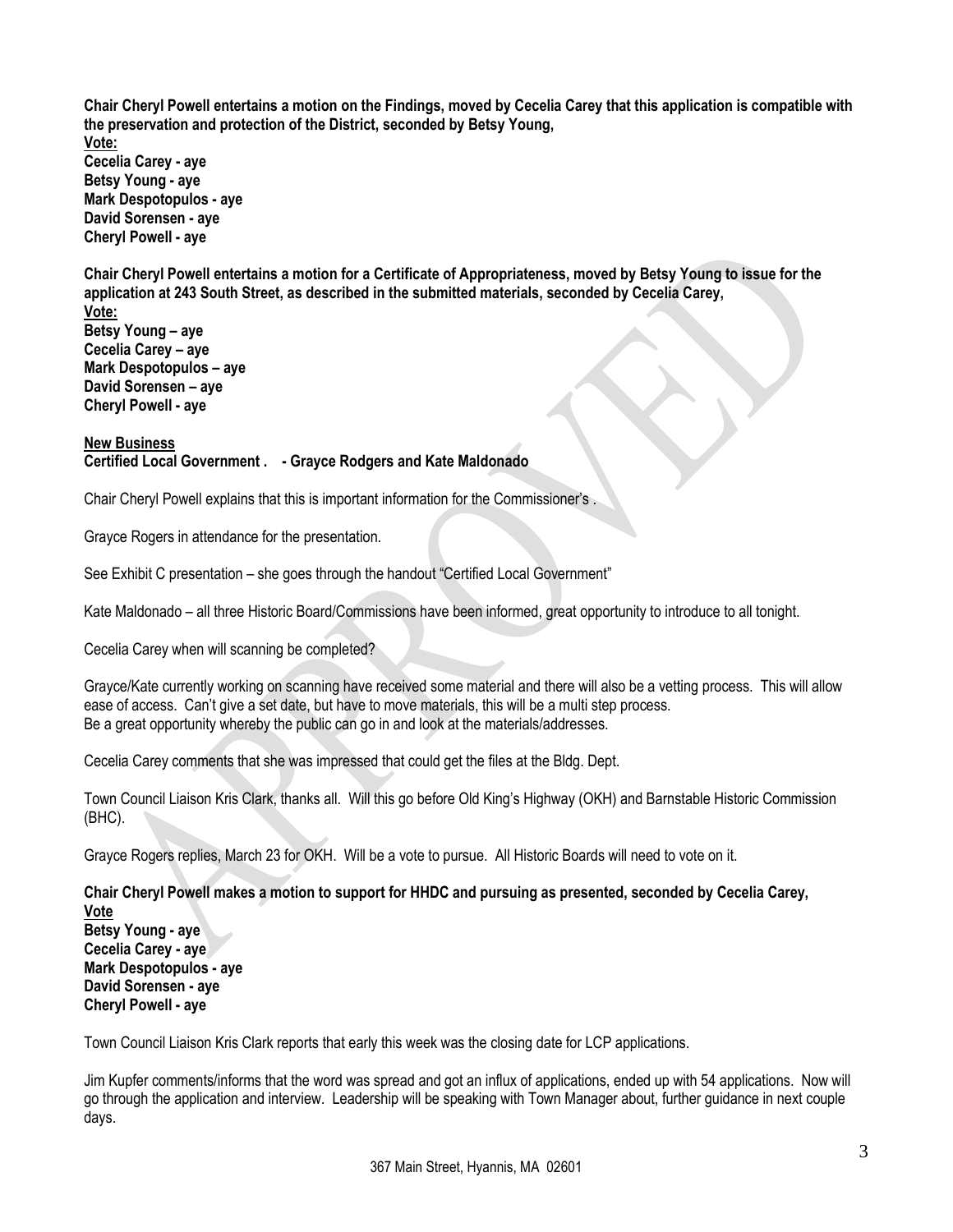**Chair Cheryl Powell entertains a motion on the Findings, moved by Cecelia Carey that this application is compatible with the preservation and protection of the District, seconded by Betsy Young, Vote: Cecelia Carey - aye Betsy Young - aye Mark Despotopulos - aye David Sorensen - aye Cheryl Powell - aye**

**Chair Cheryl Powell entertains a motion for a Certificate of Appropriateness, moved by Betsy Young to issue for the application at 243 South Street, as described in the submitted materials, seconded by Cecelia Carey,** 

**Vote: Betsy Young – aye Cecelia Carey – aye Mark Despotopulos – aye David Sorensen – aye Cheryl Powell - aye**

**New Business Certified Local Government . - Grayce Rodgers and Kate Maldonado**

Chair Cheryl Powell explains that this is important information for the Commissioner's .

Grayce Rogers in attendance for the presentation.

See Exhibit C presentation – she goes through the handout "Certified Local Government"

Kate Maldonado – all three Historic Board/Commissions have been informed, great opportunity to introduce to all tonight.

Cecelia Carey when will scanning be completed?

Grayce/Kate currently working on scanning have received some material and there will also be a vetting process. This will allow ease of access. Can't give a set date, but have to move materials, this will be a multi step process. Be a great opportunity whereby the public can go in and look at the materials/addresses.

Cecelia Carey comments that she was impressed that could get the files at the Bldg. Dept.

Town Council Liaison Kris Clark, thanks all. Will this go before Old King's Highway (OKH) and Barnstable Historic Commission (BHC).

Grayce Rogers replies, March 23 for OKH. Will be a vote to pursue. All Historic Boards will need to vote on it.

**Chair Cheryl Powell makes a motion to support for HHDC and pursuing as presented, seconded by Cecelia Carey, Vote Betsy Young - aye Cecelia Carey - aye Mark Despotopulos - aye David Sorensen - aye Cheryl Powell - aye**

Town Council Liaison Kris Clark reports that early this week was the closing date for LCP applications.

Jim Kupfer comments/informs that the word was spread and got an influx of applications, ended up with 54 applications. Now will go through the application and interview. Leadership will be speaking with Town Manager about, further guidance in next couple days.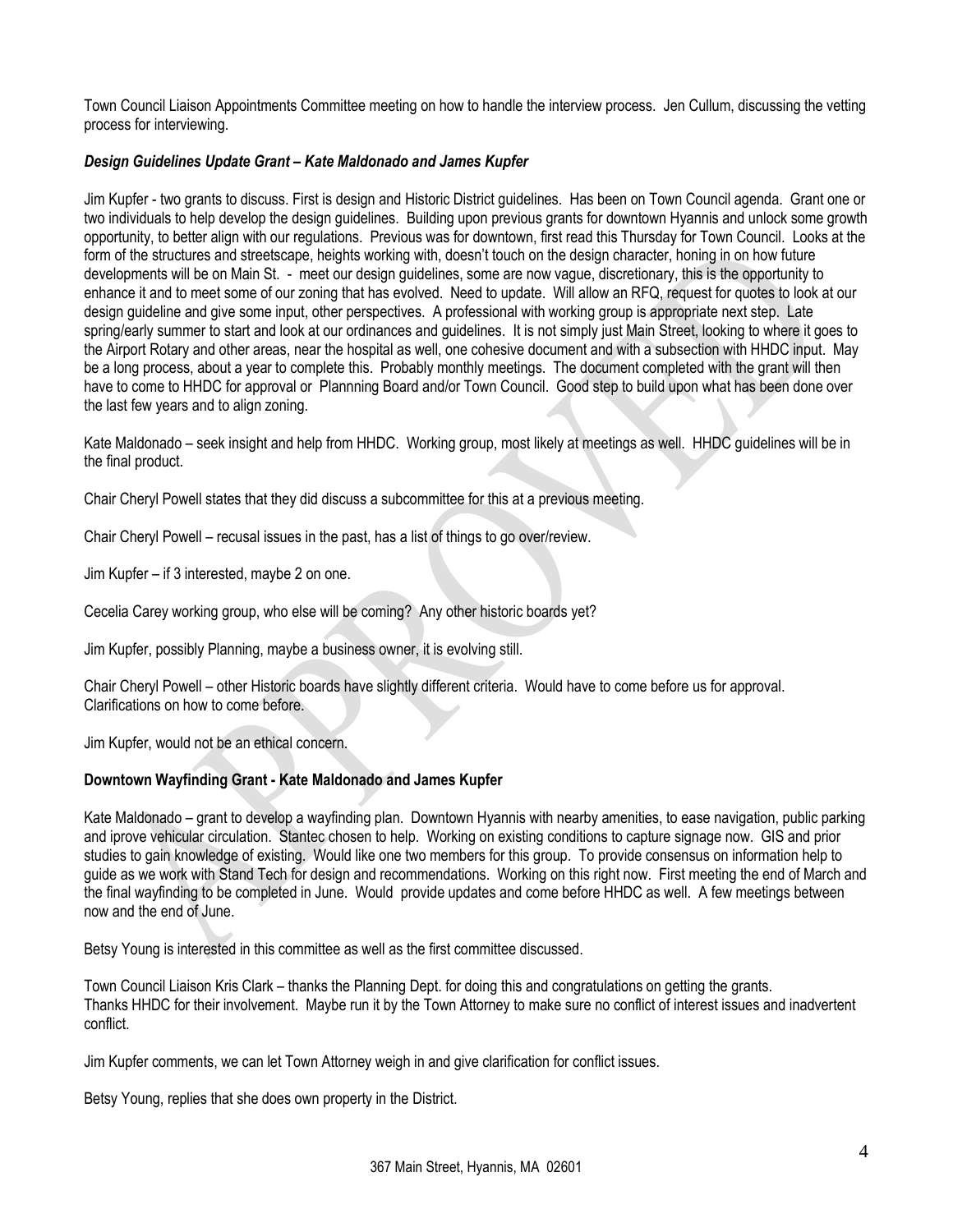Town Council Liaison Appointments Committee meeting on how to handle the interview process. Jen Cullum, discussing the vetting process for interviewing.

## *Design Guidelines Update Grant – Kate Maldonado and James Kupfer*

Jim Kupfer - two grants to discuss. First is design and Historic District guidelines. Has been on Town Council agenda. Grant one or two individuals to help develop the design guidelines. Building upon previous grants for downtown Hyannis and unlock some growth opportunity, to better align with our regulations. Previous was for downtown, first read this Thursday for Town Council. Looks at the form of the structures and streetscape, heights working with, doesn't touch on the design character, honing in on how future developments will be on Main St. - meet our design guidelines, some are now vague, discretionary, this is the opportunity to enhance it and to meet some of our zoning that has evolved. Need to update. Will allow an RFQ, request for quotes to look at our design guideline and give some input, other perspectives. A professional with working group is appropriate next step. Late spring/early summer to start and look at our ordinances and guidelines. It is not simply just Main Street, looking to where it goes to the Airport Rotary and other areas, near the hospital as well, one cohesive document and with a subsection with HHDC input. May be a long process, about a year to complete this. Probably monthly meetings. The document completed with the grant will then have to come to HHDC for approval or Plannning Board and/or Town Council. Good step to build upon what has been done over the last few years and to align zoning.

Kate Maldonado – seek insight and help from HHDC. Working group, most likely at meetings as well. HHDC guidelines will be in the final product.

Chair Cheryl Powell states that they did discuss a subcommittee for this at a previous meeting.

Chair Cheryl Powell – recusal issues in the past, has a list of things to go over/review.

Jim Kupfer – if 3 interested, maybe 2 on one.

Cecelia Carey working group, who else will be coming? Any other historic boards yet?

Jim Kupfer, possibly Planning, maybe a business owner, it is evolving still.

Chair Cheryl Powell – other Historic boards have slightly different criteria. Would have to come before us for approval. Clarifications on how to come before.

Jim Kupfer, would not be an ethical concern.

## **Downtown Wayfinding Grant - Kate Maldonado and James Kupfer**

Kate Maldonado – grant to develop a wayfinding plan. Downtown Hyannis with nearby amenities, to ease navigation, public parking and iprove vehicular circulation. Stantec chosen to help. Working on existing conditions to capture signage now. GIS and prior studies to gain knowledge of existing. Would like one two members for this group. To provide consensus on information help to guide as we work with Stand Tech for design and recommendations. Working on this right now. First meeting the end of March and the final wayfinding to be completed in June. Would provide updates and come before HHDC as well. A few meetings between now and the end of June.

Betsy Young is interested in this committee as well as the first committee discussed.

Town Council Liaison Kris Clark – thanks the Planning Dept. for doing this and congratulations on getting the grants. Thanks HHDC for their involvement. Maybe run it by the Town Attorney to make sure no conflict of interest issues and inadvertent conflict.

Jim Kupfer comments, we can let Town Attorney weigh in and give clarification for conflict issues.

Betsy Young, replies that she does own property in the District.